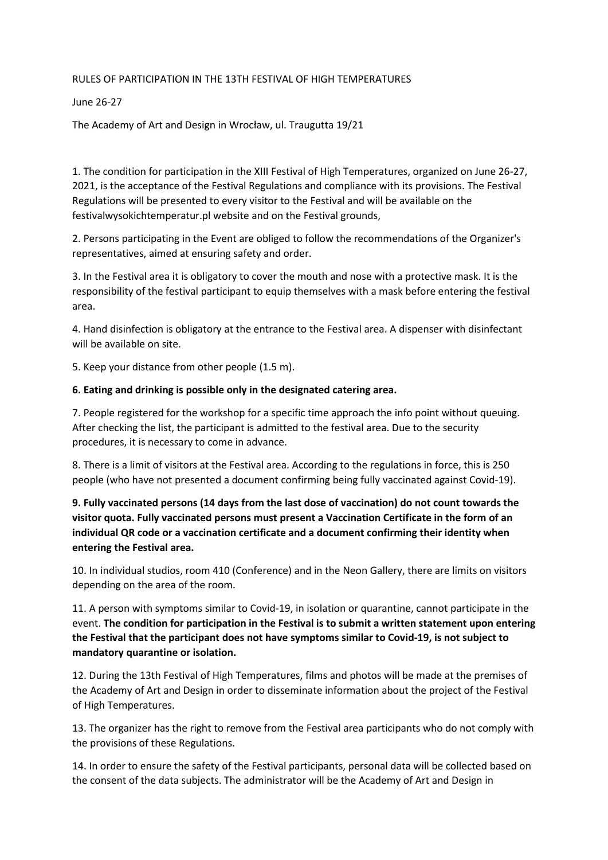## RULES OF PARTICIPATION IN THE 13TH FESTIVAL OF HIGH TEMPERATURES

## June 26-27

The Academy of Art and Design in Wrocław, ul. Traugutta 19/21

1. The condition for participation in the XIII Festival of High Temperatures, organized on June 26-27, 2021, is the acceptance of the Festival Regulations and compliance with its provisions. The Festival Regulations will be presented to every visitor to the Festival and will be available on the festivalwysokichtemperatur.pl website and on the Festival grounds,

2. Persons participating in the Event are obliged to follow the recommendations of the Organizer's representatives, aimed at ensuring safety and order.

3. In the Festival area it is obligatory to cover the mouth and nose with a protective mask. It is the responsibility of the festival participant to equip themselves with a mask before entering the festival area.

4. Hand disinfection is obligatory at the entrance to the Festival area. A dispenser with disinfectant will be available on site.

5. Keep your distance from other people (1.5 m).

## **6. Eating and drinking is possible only in the designated catering area.**

7. People registered for the workshop for a specific time approach the info point without queuing. After checking the list, the participant is admitted to the festival area. Due to the security procedures, it is necessary to come in advance.

8. There is a limit of visitors at the Festival area. According to the regulations in force, this is 250 people (who have not presented a document confirming being fully vaccinated against Covid-19).

**9. Fully vaccinated persons (14 days from the last dose of vaccination) do not count towards the visitor quota. Fully vaccinated persons must present a Vaccination Certificate in the form of an individual QR code or a vaccination certificate and a document confirming their identity when entering the Festival area.**

10. In individual studios, room 410 (Conference) and in the Neon Gallery, there are limits on visitors depending on the area of the room.

11. A person with symptoms similar to Covid-19, in isolation or quarantine, cannot participate in the event. **The condition for participation in the Festival is to submit a written statement upon entering the Festival that the participant does not have symptoms similar to Covid-19, is not subject to mandatory quarantine or isolation.**

12. During the 13th Festival of High Temperatures, films and photos will be made at the premises of the Academy of Art and Design in order to disseminate information about the project of the Festival of High Temperatures.

13. The organizer has the right to remove from the Festival area participants who do not comply with the provisions of these Regulations.

14. In order to ensure the safety of the Festival participants, personal data will be collected based on the consent of the data subjects. The administrator will be the Academy of Art and Design in